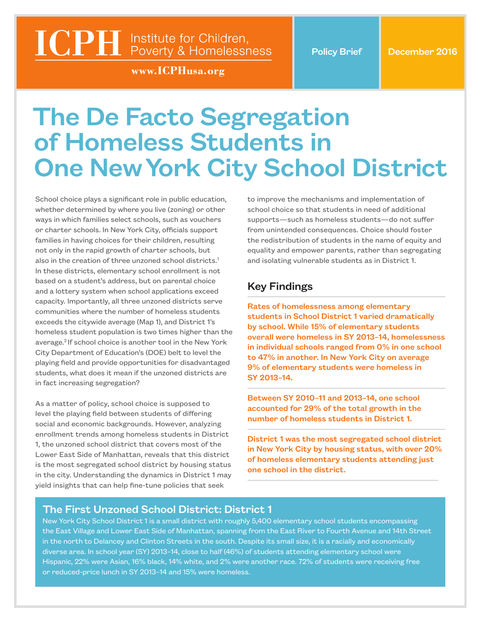# **ICPH** Institute for Children,<br>Poverty & Homelessness

www.ICPHusa.org

# The De Facto Segregation of Homeless Students in One New York City School District

School choice plays a significant role in public education, whether determined by where you live (zoning) or other ways in which families select schools, such as vouchers or charter schools. In New York City, officials support families in having choices for their children, resulting not only in the rapid growth of charter schools, but also in the creation of three unzoned school districts.<sup>1</sup> In these districts, elementary school enrollment is not based on a student's address, but on parental choice and a lottery system when school applications exceed capacity. Importantly, all three unzoned districts serve communities where the number of homeless students exceeds the citywide average (Map 1), and District 1's homeless student population is two times higher than the average.2 If school choice is another tool in the New York City Department of Education's (DOE) belt to level the playing field and provide opportunities for disadvantaged students, what does it mean if the unzoned districts are in fact increasing segregation?

As a matter of policy, school choice is supposed to level the playing field between students of differing social and economic backgrounds. However, analyzing enrollment trends among homeless students in District 1, the unzoned school district that covers most of the Lower East Side of Manhattan, reveals that this district is the most segregated school district by housing status in the city. Understanding the dynamics in District 1 may yield insights that can help fine-tune policies that seek

to improve the mechanisms and implementation of school choice so that students in need of additional supports—such as homeless students—do not suffer from unintended consequences. Choice should foster the redistribution of students in the name of equity and equality and empower parents, rather than segregating and isolating vulnerable students as in District 1.

# Key Findings

Rates of homelessness among elementary students in School District 1 varied dramatically by school. While 15% of elementary students overall were homeless in SY 2013–14, homelessness in individual schools ranged from 0% in one school to 47% in another. In New York City on average 9% of elementary students were homeless in SY 2013–14.

Between SY 2010–11 and 2013–14, one school accounted for 29% of the total growth in the number of homeless students in District 1.

District 1 was the most segregated school district in New York City by housing status, with over 20% of homeless elementary students attending just one school in the district.

### The First Unzoned School District: District 1

New York City School District 1 is a small district with roughly 5,400 elementary school students encompassing the East Village and Lower East Side of Manhattan, spanning from the East River to Fourth Avenue and 14th Street in the north to Delancey and Clinton Streets in the south. Despite its small size, it is a racially and economically diverse area. In school year (SY) 2013–14, close to half (46%) of students attending elementary school were Hispanic, 22% were Asian, 16% black, 14% white, and 2% were another race. 72% of students were receiving free or reduced-price lunch in SY 2013–14 and 15% were homeless.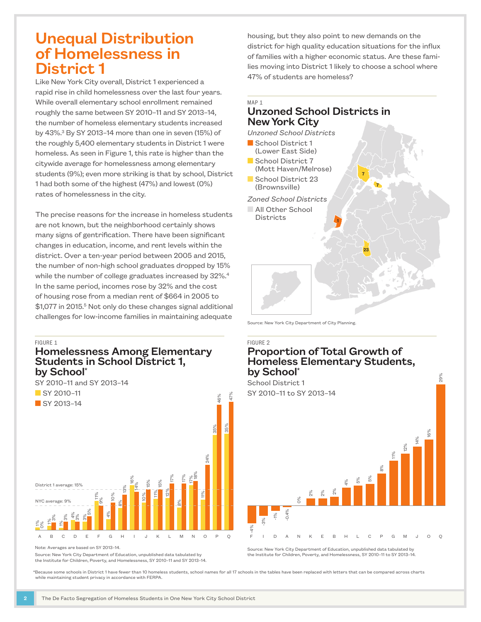# Unequal Distribution of Homelessness in District 1

Like New York City overall, District 1 experienced a rapid rise in child homelessness over the last four years. While overall elementary school enrollment remained roughly the same between SY 2010–11 and SY 2013–14, the number of homeless elementary students increased by 43%.3 By SY 2013–14 more than one in seven (15%) of the roughly 5,400 elementary students in District 1 were homeless. As seen in Figure 1, this rate is higher than the citywide average for homelessness among elementary students (9%); even more striking is that by school, District 1 had both some of the highest (47%) and lowest (0%) rates of homelessness in the city.

The precise reasons for the increase in homeless students are not known, but the neighborhood certainly shows many signs of gentrification. There have been significant changes in education, income, and rent levels within the district. Over a ten-year period between 2005 and 2015, the number of non-high school graduates dropped by 15% while the number of college graduates increased by 32%.<sup>4</sup> In the same period, incomes rose by 32% and the cost of housing rose from a median rent of \$664 in 2005 to \$1,077 in 2015.<sup>5</sup> Not only do these changes signal additional challenges for low-income families in maintaining adequate

#### FIGURE 1

#### Homelessness Among Elementary Students in School District 1, by School\*



Note: Averages are based on SY 2013–14.

Source: New York City Department of Education, unpublished data tabulated by

housing, but they also point to new demands on the district for high quality education situations for the influx of families with a higher economic status. Are these families moving into District 1 likely to choose a school where 47% of students are homeless?

#### MAP 1 Unzoned School Districts in New York City

*Unzoned School Districts*

7 1 23 7 School District 1 (Lower East Side) School District 7 (Mott Haven/Melrose) School District 23 (Brownsville) *Zoned School Districts* **NAIL Other School Districts** 

Source: New York City Department of City Planning.

#### FIGURE 2

## Proportion of Total Growth of Homeless Elementary Students, by School\*



Source: New York City Department of Education, unpublished data tabulated by the Institute for Children, Poverty, and Homelessness, SY 2010–11 to SY 2013–14.

 \*Because some schools in District 1 have fewer than 10 homeless students, school names for all 17 schools in the tables have been replaced with letters that can be compared across charts while maintaining student privacy in accordance with FERPA.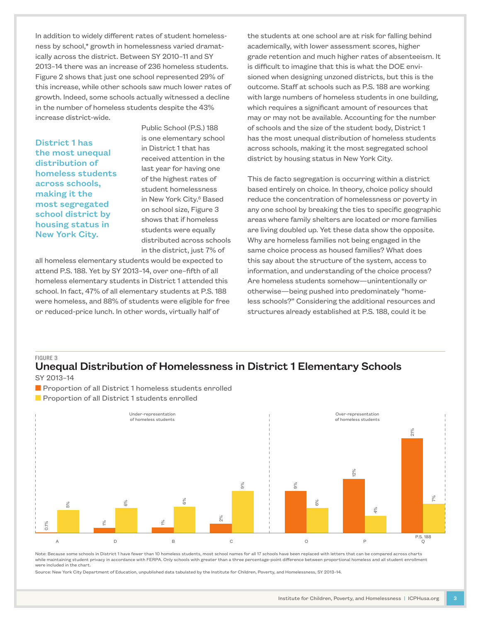In addition to widely different rates of student homelessness by school,\* growth in homelessness varied dramatically across the district. Between SY 2010–11 and SY 2013–14 there was an increase of 236 homeless students. Figure 2 shows that just one school represented 29% of this increase, while other schools saw much lower rates of growth. Indeed, some schools actually witnessed a decline in the number of homeless students despite the 43% increase district-wide.

District 1 has the most unequal distribution of homeless students across schools, making it the most segregated school district by housing status in New York City.

Public School (P.S.) 188 is one elementary school in District 1 that has received attention in the last year for having one of the highest rates of student homelessness in New York City.<sup>6</sup> Based on school size, Figure 3 shows that if homeless students were equally distributed across schools in the district, just 7% of

all homeless elementary students would be expected to attend P.S. 188. Yet by SY 2013–14, over one–fifth of all homeless elementary students in District 1 attended this school. In fact, 47% of all elementary students at P.S. 188 were homeless, and 88% of students were eligible for free or reduced-price lunch. In other words, virtually half of

the students at one school are at risk for falling behind academically, with lower assessment scores, higher grade retention and much higher rates of absenteeism. It is difficult to imagine that this is what the DOE envisioned when designing unzoned districts, but this is the outcome. Staff at schools such as P.S. 188 are working with large numbers of homeless students in one building, which requires a significant amount of resources that may or may not be available. Accounting for the number of schools and the size of the student body, District 1 has the most unequal distribution of homeless students across schools, making it the most segregated school district by housing status in New York City.

This de facto segregation is occurring within a district based entirely on choice. In theory, choice policy should reduce the concentration of homelessness or poverty in any one school by breaking the ties to specific geographic areas where family shelters are located or more families are living doubled up. Yet these data show the opposite. Why are homeless families not being engaged in the same choice process as housed families? What does this say about the structure of the system, access to information, and understanding of the choice process? Are homeless students somehow—unintentionally or otherwise—being pushed into predominately "homeless schools?" Considering the additional resources and structures already established at P.S. 188, could it be

#### FIGURE 3

#### Unequal Distribution of Homelessness in District 1 Elementary Schools SY 2013–14

- **n** Proportion of all District 1 homeless students enrolled
- **Proportion of all District 1 students enrolled**



Note: Because some schools in District 1 have fewer than 10 homeless students, most school names for all 17 schools have been replaced with letters that can be compared across charts while maintaining student privacy in accordance with FERPA. Only schools with greater than a three percentage-point difference between proportional homeless and all student enrollment were included in the chart.